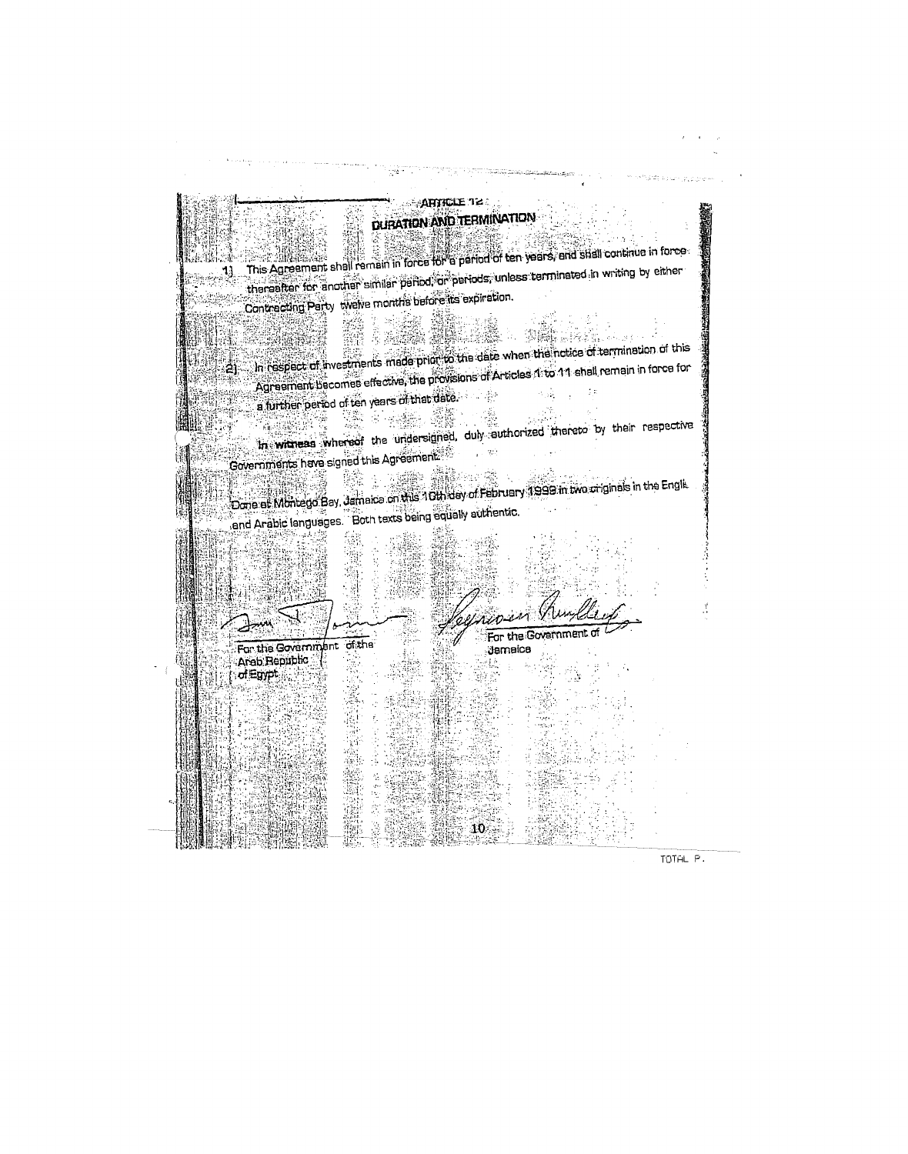**АНИСЕЛЕ? DURATION AND TERMINATION** This Agreement shall remain in force for a period of ten years, and shall continue in force thereafter for another similar period, or periods, unless terminated in writing by either 11 Contracting Party welve months before its expiration. 事業 **MARTINE** 医胃性肠动脉 In respect of investments made prior to the date when the holice of termination of this Agreement becomes effective, the provisions of Articles 1: to 11 shall remain in force for ≀2ì a further period of ten years of that date.  $\alpha_{\rm{ph}}$ 邊麗 7% 2-43%. **SERVERSE** In with eas whereof the undersigned, duly authorized thereto by their respective Governments have signed this Agreement.  $\sim 30$  $\frac{1}{2\pi}\sum_{i=1}^{n} \frac{1}{\left(\frac{1}{\sqrt{2}}\right)^{2}}\left(\frac{1}{\sqrt{2}}\right)^{2} \left(\frac{1}{\sqrt{2}}\right)^{2} \left(\frac{1}{\sqrt{2}}\right)^{2} \left(\frac{1}{\sqrt{2}}\right)^{2} \left(\frac{1}{\sqrt{2}}\right)^{2} \left(\frac{1}{\sqrt{2}}\right)^{2} \left(\frac{1}{\sqrt{2}}\right)^{2} \left(\frac{1}{\sqrt{2}}\right)^{2} \left(\frac{1}{\sqrt{2}}\right)^{2} \left(\frac{1}{\sqrt{2}}\right)^{2$ 除主编  $\frac{1}{2}$  and  $\frac{1}{2}$ Lander S Done of Montego Bay, Jamaica on this 10th day of February 1999 in two criginals in the Engli. end Arabic languages. Both texts being equally authentic. 55 i.<br>T For the Governmen of the For the Government **Jamaica** Arab Republic of Egypt. ň,  $10 -$ 

TOTAL P.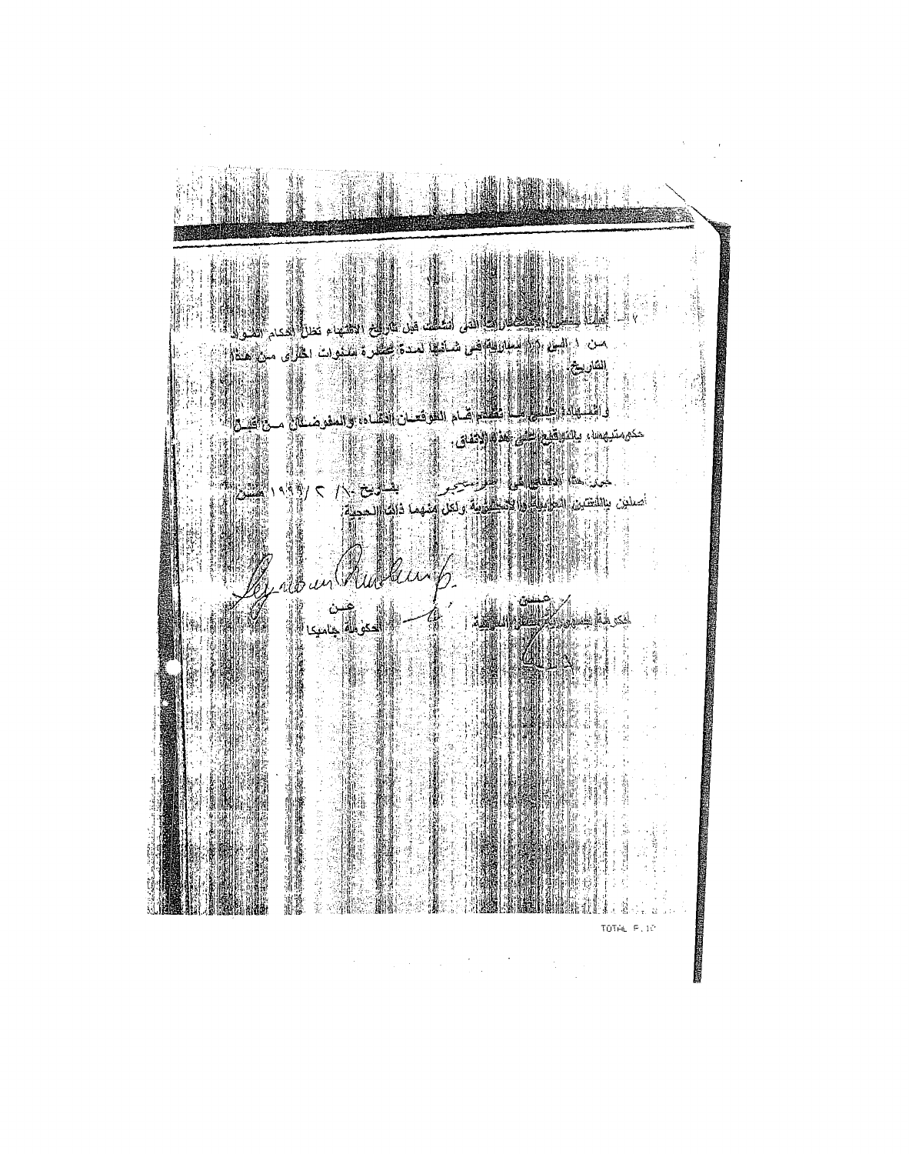

 $\label{eq:2.1} \frac{1}{2} \sum_{i=1}^n \frac{1}{2} \sum_{j=1}^n \frac{1}{2} \sum_{j=1}^n \frac{1}{2} \sum_{j=1}^n \frac{1}{2} \sum_{j=1}^n \frac{1}{2} \sum_{j=1}^n \frac{1}{2} \sum_{j=1}^n \frac{1}{2} \sum_{j=1}^n \frac{1}{2} \sum_{j=1}^n \frac{1}{2} \sum_{j=1}^n \frac{1}{2} \sum_{j=1}^n \frac{1}{2} \sum_{j=1}^n \frac{1}{2} \sum_{j=1}^n \frac{$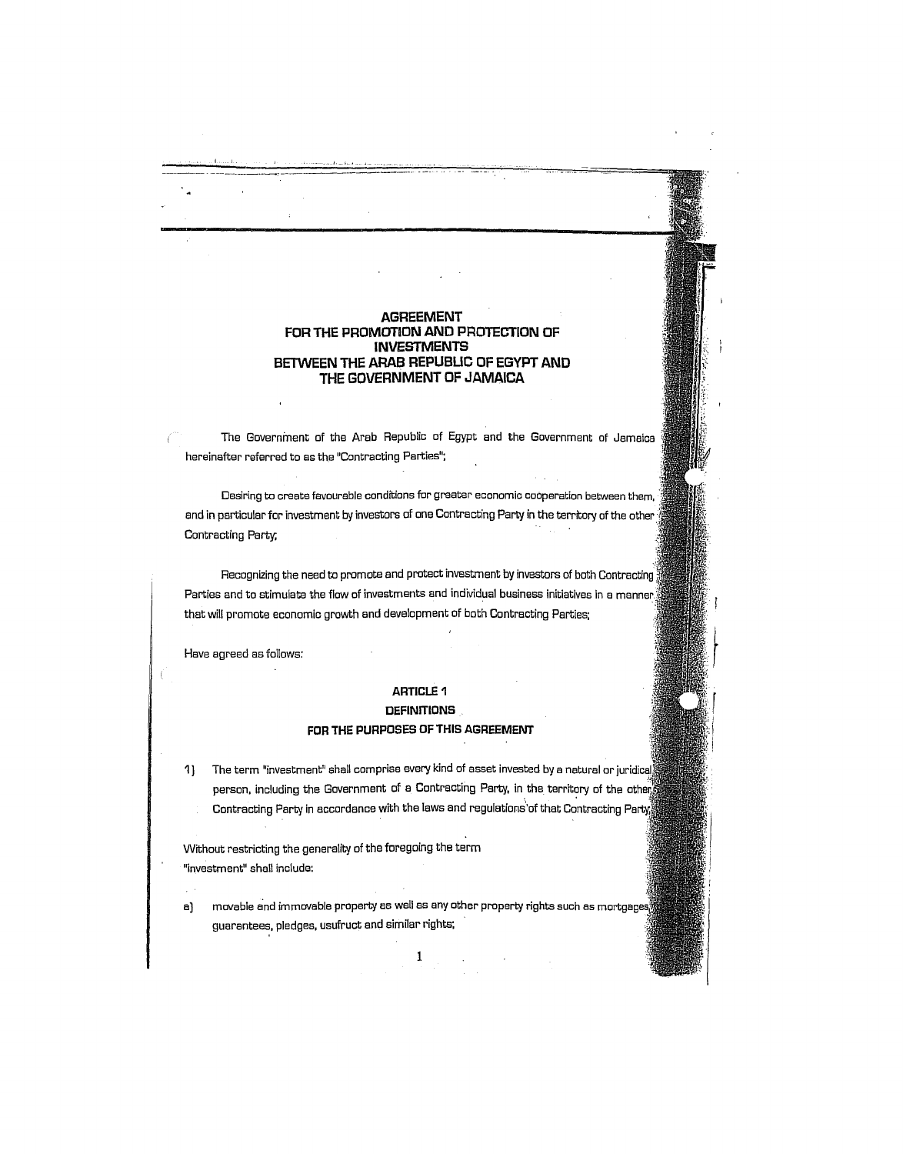### **AGREEMENT FOR THE PROMOTION AND PROTECTION OF INVESTMENTS BETWEEN THE ARAB REPUBUC OF EGYPT AND THE GOVERNMENT OF JAMAICA**

The Government of the Arab Republic of Egypt and the Government of Jamaica hereinafter referred to as the "Contracting Parties";

Desiring to create favourable conditions for greater economic cooperation between them, and in particular for investment by investors of one Contracting Party in the territory of the other, Contrecting Party;

Recognizing the need to promote and protect investment by investors of both Contrecting Parties and to stimulate the flow of investments and individual business initiatives in a manner. that will promote economic growth end development of both Contrecting Parties;

Heve egreed as follows:

### **ARTICLE 1**

# **DEFINITIONS FOR THE PURPOSES OF THIS AGREEMENT**

1) The term "investment" shall comprise every kind of asset invested by a natural or juridical person, including the Government of a Contracting Party, in the territory of the other Contracting Party in accordance with the laws and regulations' of that Contracting Party

Without restricting the generality of the foregoing the term "investment" shall includa:

a] movable and immovable property as well as any other property rights such as mortgages guarantees, pledges, usufruct and similar rights;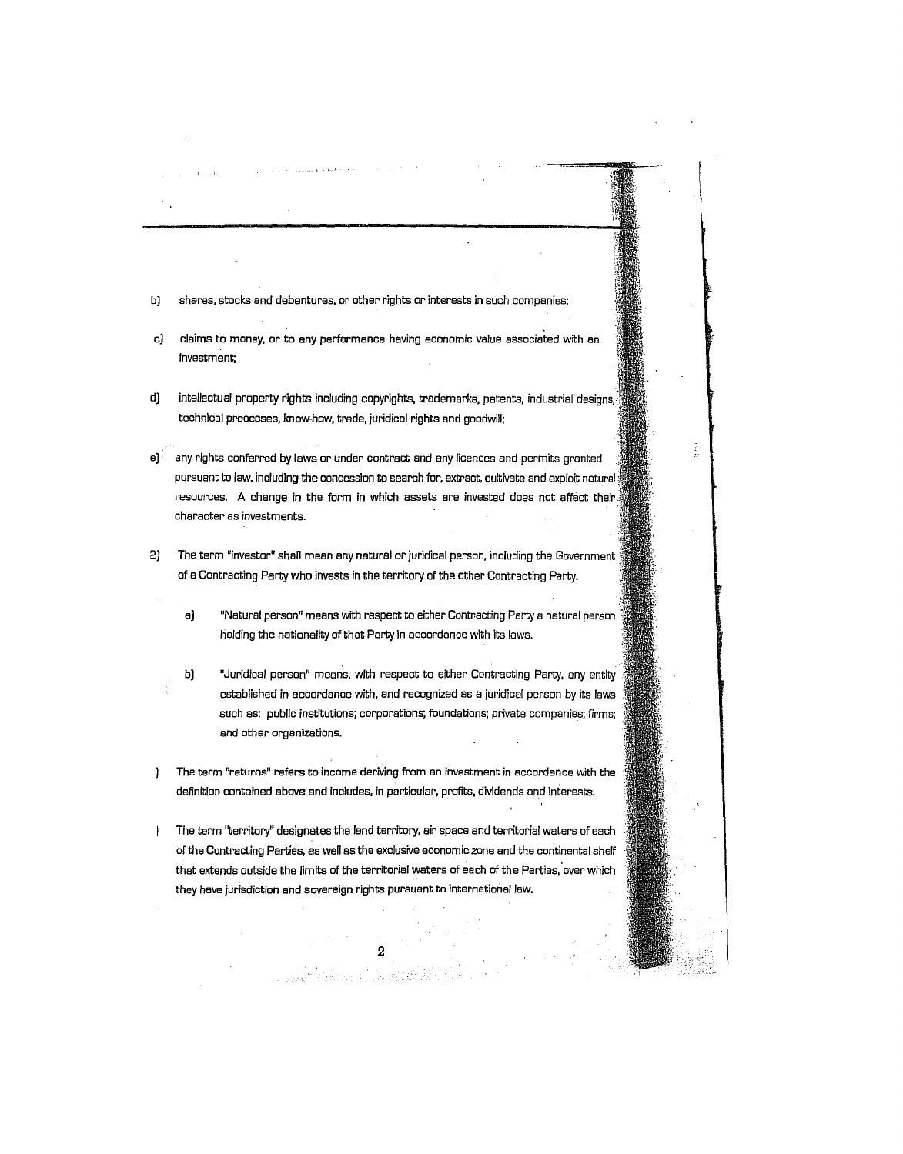- b) shares, stocks and debentures, or other rights or interests in such companies;
- cJ claims to money, or to any performanca having economic value associated with an investment;
- d) intellectual property rights including copyrights, trademarks, patents, industrial' designs, technical processes, knowhow, trade, juridical rights and goodwill;
- $e$ <sup> $0$ </sup> any rights conferred by laws or under contract and any licences and permits granted pursuant to law, including the concession to search for, extract, cultivate and exploit natural resources. A change in the form in which assets are invested does not affect their. character as investments.
- 2) The term "investor" shall mean any natural or juridical person, including the Government of a Contracting Party who invests in the territory of the other Contracting Party.
	- aJ "Natural person" means with respect to either Contracting Party a natural person holding the nationality of that Party in accordance with its laws.
	- b) "Juridical person" means, with respect to either Contracting Party, any entity established in accordance with, and recognized as a juridical person by its laws such as: public institutions; corporations; foundations; private companies; firms; and other organizations.
- 1 The term "returns" refers to income deriving from an investment in accordance with the definition contained above and includes, in particular, profits, dividends and interests.
- The term "territory" designates the land territory, air space and territorial waters of each  $\begin{array}{c} \hline \end{array}$ of the Contracting Parties, as well as the exclusive economic zone and the continental shelf that extends outside the limits of the territorial waters of each of the Parties, 'over which they have jurisdiction and soveraign rights pursuant to international law,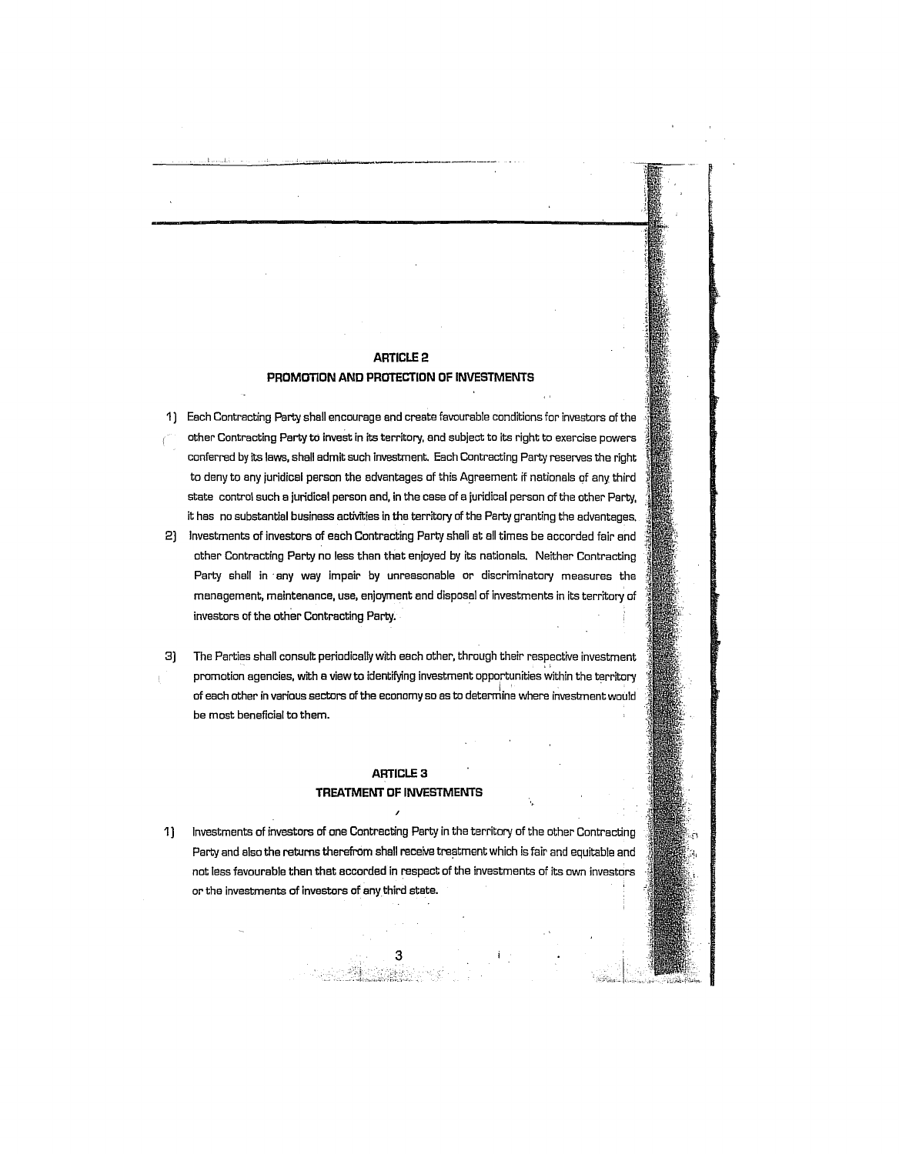# ARTICLE 2

### **PROMOTION AND PROTECTION OF INVESTMENTS**

- 1) Each Contracting Party shall encourage and create favourable conditions for investors of the other Contracting Party to invest in its territory, and subject to its right to exercise powers conferred by its laws, shall admit such investment. Each Contracting Party reserves the right to deny to any juridical person the advantages of this Agreement if nationals of any third state control such a juridical person and, in tha case of a juridical person of the other Party, it has no substantial business activities in the territory of the Party granting the advantages.
- 2) Investmenta of investors of each Contracting Party shall at all times be accorded fair and other Contracting Party no less than that enjoyed by its nationals. Neither Contracting Party shall in any way impair by unreasonable or discriminatory measures the management, maintenance, use, enjoyment and disposal of investments in its territory of investors of the other Contracting Party.
- 3] The Parties shall consult periodically with each other, through their respective investment promotion agencies, with a view to identifying investment opportunities within the territory of each other in various sectors of the economy so as to determine where investment would be most beneficial to them.

## ARTICLE 3 **TREATMENT DF INVESTMENTS**

1] Investments of investors of one Contrecting Party in tha territory of the other Contracting Party and also the returns therefrom shall receive treatment which is fair and equitable and not less favourable than thet accorded in respect of the investments of its own investors or the invastments of investors of any third state.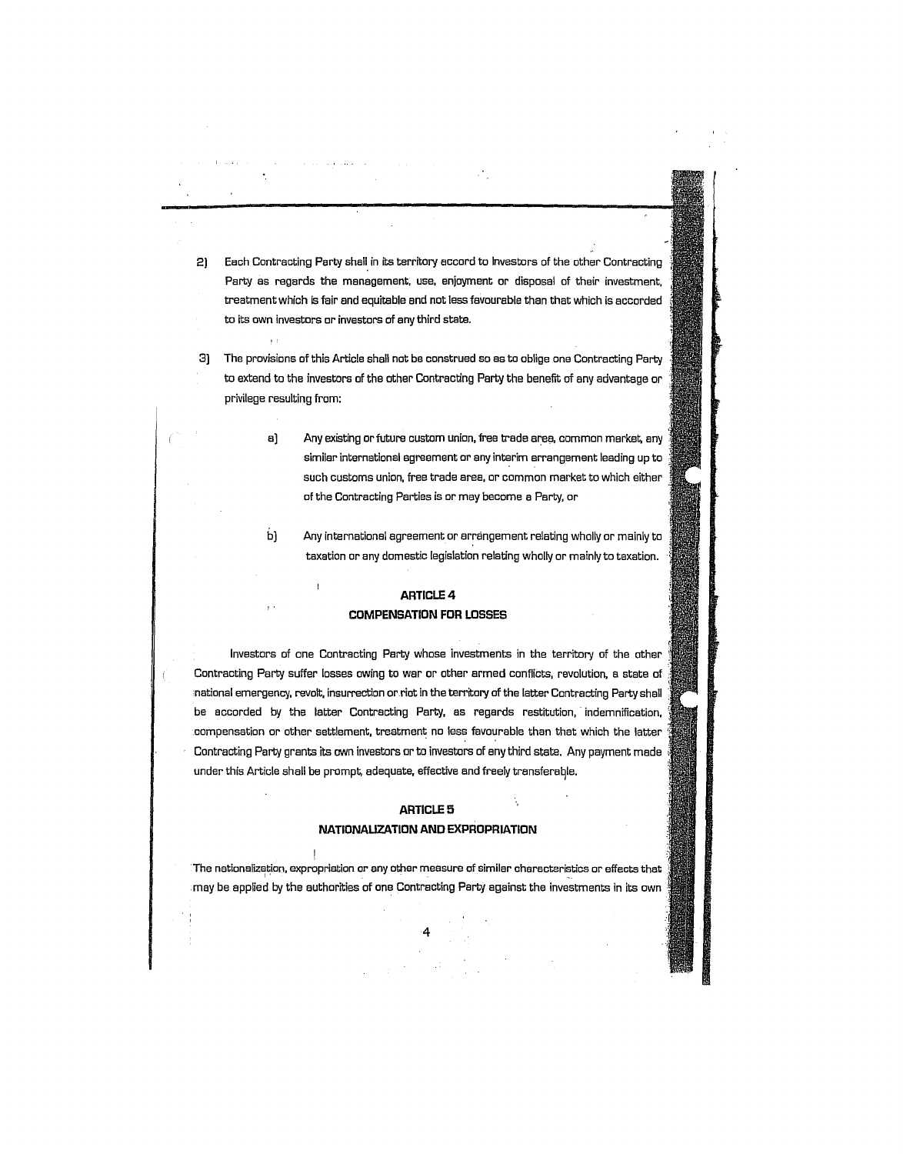- 2) Each Contracting Party shall in its territory accord to Investors of the other Contracting Party as regards the management, use, enjoyment or disposal of their investment, treatment which is fair and equitable and not less favourable than that which is accorded to its own investors or investors of any third state.
- 3] The provisions of this Article shall not be construed so as to oblige one Contracting Party to extend to the investors of tha other Contracting Party the benefit of any advantage or privilege resulting from:
	- a) Any existing or future custom union, free trade area, common market, any similar international agreement or any interim arrangement leading up to such customs union, free trade area, or common market to which either of the Contracting Parties is or may become a Party, or
	- b] Any international agreement or arrangement relating wholly or mainly to taxation or any domastic legislation relating wholly or mainly to taxation.

### ARTICLE 4

### **COMPENSATION FOR LOSSES**

 $\overline{1}$ 

Investors of one Contrecting Party whose investments in the territory of the other Contraoting Party suffer losses owing to war or other armed oonflicts, ravolution, a state of national emergency, revolt, insurrection or riot in the territory of the latter Contracting Party shall be accorded by the latter Contracting Party, as regards restitution, indemnification, oompensation or other settlement, treatmant no less favourable than that which the latter Contracting Party grants its own investors or to investors of any third stete. Any payment made under this Article shall be prompt, adequate, effective and freely transferagle.

#### ARTICLE 5

### **NATIONAUZATION AND EXPROPRIATION**

The nationalization, expropriation or any other measure of similar characteristics or effects that may be applied by the authorities of one Contracting Party against the invastments in its own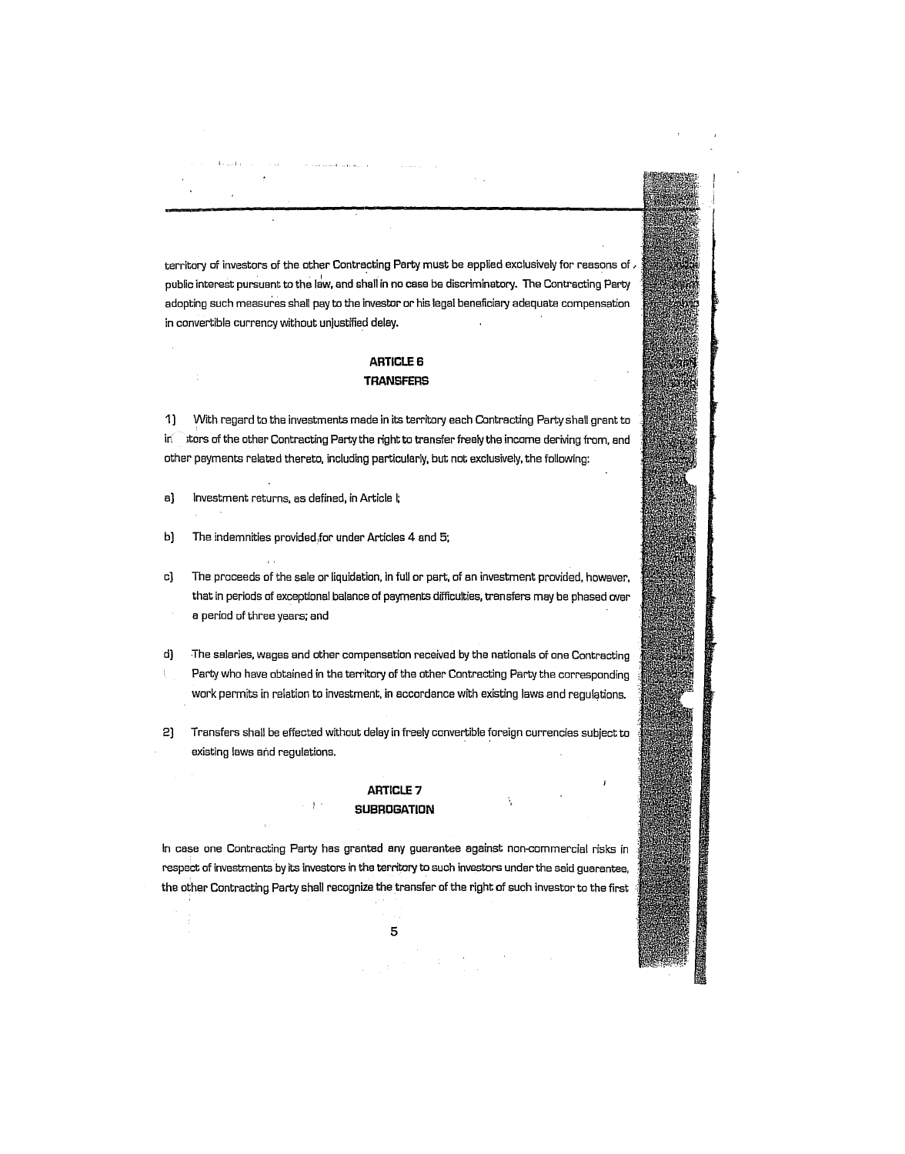territory of investors of the other Contracting Party must be applied exclusively for reasons of . public interest pursuant to the law. and shall in no casa ba discriminatory. The Contracting Party adopting such measures shall pay to the investor or his legal beneficiary adequate compensation in convertibla currency without unjustified delay.

## **ARTICLES TRANSFERS**

1) With regard to the investments made in its territory each Contracting Party shall grant to in it stors of the other Contracting Party the right to transfer freely the income deriving from, and othar payments related thereto. including particularly. but not exclusively. the following:

- a) Investment returns. as defined. in Article I;
- b] The indemnities provided for under Articles 4 and 5;

 $-1.11$ 

- c] The proceeds of the sele or liquidation. in full or part. of an investment provided. however. that in periods of exceptional balance of payments difficulties, transfers may be phased over a period of three years; and
- d] The salaries. wages and ather compensation received by the nationals of one Contracting Party who have obtained in the territory of the ather Contracting Party the corresponding work permits in relation to investment. in accordance with existing laws and regulations.

2] Transfers shall be effected without delay in freely convertible foreign currencies subject to existing laws and regulations.

### ARTICLE 7 **SUBROGATION**

In case one Contracting Party has granted any guarantee against non-commercial risks in respect of invastments by its investors in the territory to such investors under the said guarsntee. the other Contracting Party shall recognize the transfer of the right of such investor to the first .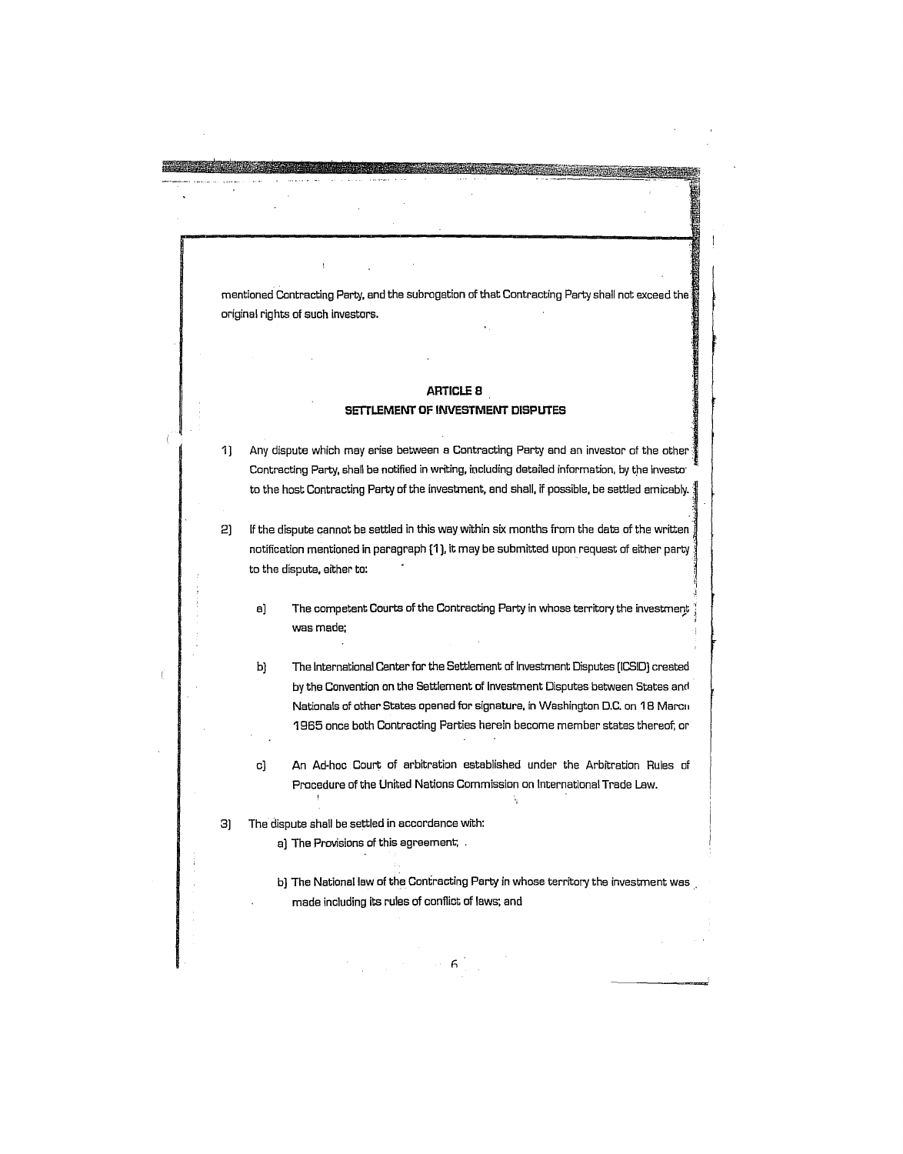mentioned Contracting Party. end tha subrogation of that Contracting Party shall not exceed the original rights of such invastors.

**MARKET COMPANY** 

# **ARTICLES SETTLEMENT OF INVESTMENT DISPUTES**

1] Any dispute which may arise between a Contracting Party and an investor of the other Contracting Party, shall be notified in writing, including detailed information, by the investo<sup>-</sup> to the host Contracting Party of the investment, and shall, if possible, be settled amicably.  $\frac{4}{3}$ 

 $2)$  If the dispute cannot be settled in this way within six months from the date of the written. notification mentioned in paragraph **[1).** it may be submitted upon request of either party to the dispute. either to:

a) The competent Courts of the Contracting Party in whose territory the investment was mede; ;

b) The International Center for the Settlement of Investment Disputes [ICSID) craated by the Convention on the Settlement of Investment Disputes between Stetes and Nationals of other Stetes opened for signature. in Washington D.C. on 18 Marcil 1965 once both Contracting Parties herein become member states thereof; or

c) **An** Ad-hoc Court of arbitration established under the Arbitration Rules of Procedure of the United Nations Commission on International Trade Law.

3) The dispute shall be settled in accordance with:

 $\mathbf{I}$ 

a) The Provisions of this agreement; ,

f), and the set of  $6^{+1}$ 

b) The National law of the Contracting Party in whose territory the investment was. made including its rules of conflict of laws; and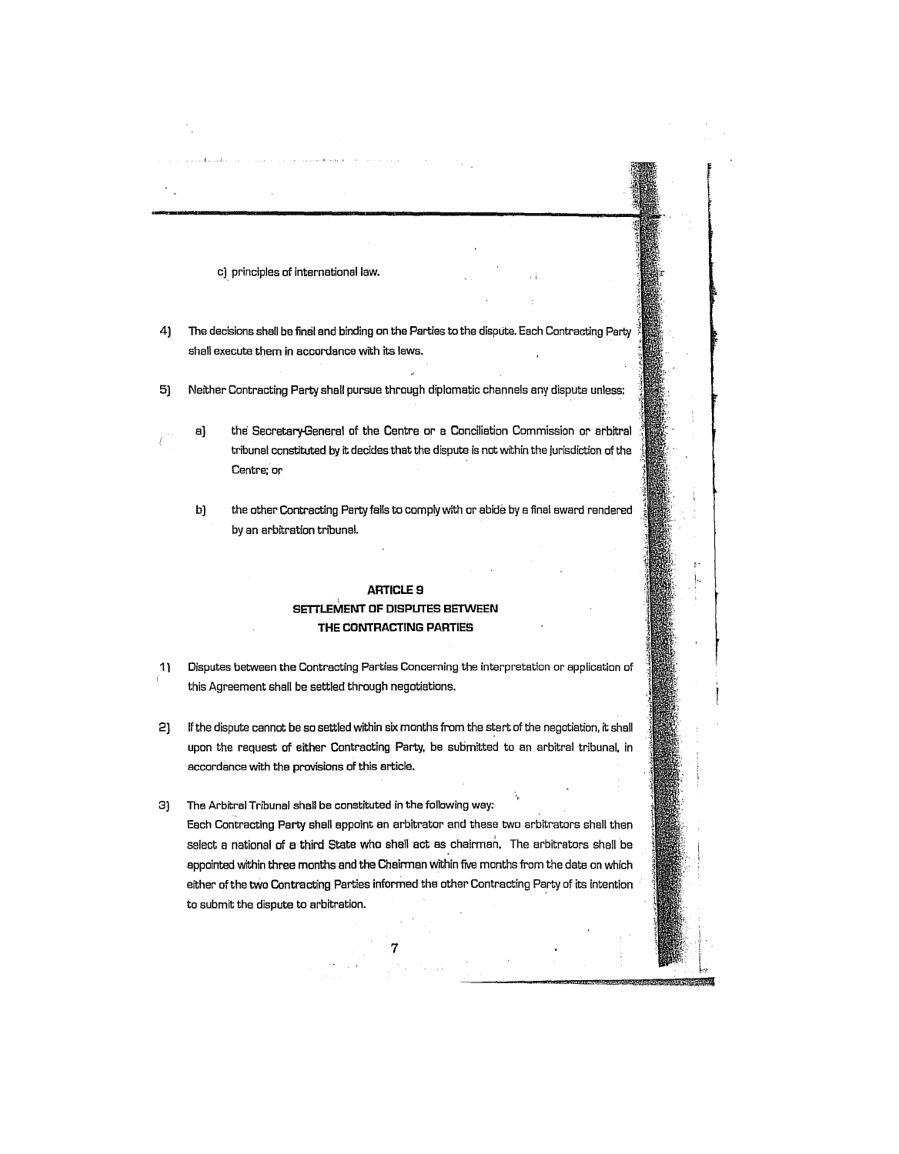c] principles of international law.

- 4) The decisions shall be final and binding on the Parties to the dispute. Each Contracting Party shall execute them in accordance with its laws.
- 5J Neither Contracting Party shall pursue through diplomatic channels any dispute unless:
- 

aJ the Secretery-General of the Centre or e Conciliation Commission or erbitral tribunal constittited by it decides that the dispute is not within the jurisdiction of the Centre; or

b) the other Contracting Party fails to comply with or abide by a final award rendered by an arbitration tribunal.

# **ARTICLES SETTLEMENT OF DISPUTES BETWEEN THE CONTRACTING PARTIES**

- 11 Disputes between the Contracting Parties Concerning the interpretation or application of this Agreement shall be settled through negotiations.
- 2J If the dispute cannot be so settled within six months from the start of the negotiation. it shall upon the request of either Contracting Party. be submitted to an arbitral tribunal. in accordance with the provisions of this article.

3J The Arbitral Tribunal shall be constituted in the following way: Each Contracting Party shall appoint an arbitrator and these two arbitrators shall then select a national of a third State who shall act as chairman. The arbitrators shall be appointed within three months and the Chairman within five months from the date on which either of the tWo Contracting Parties informed the other Contracting Party of its intention to submit the dispute to arbitration.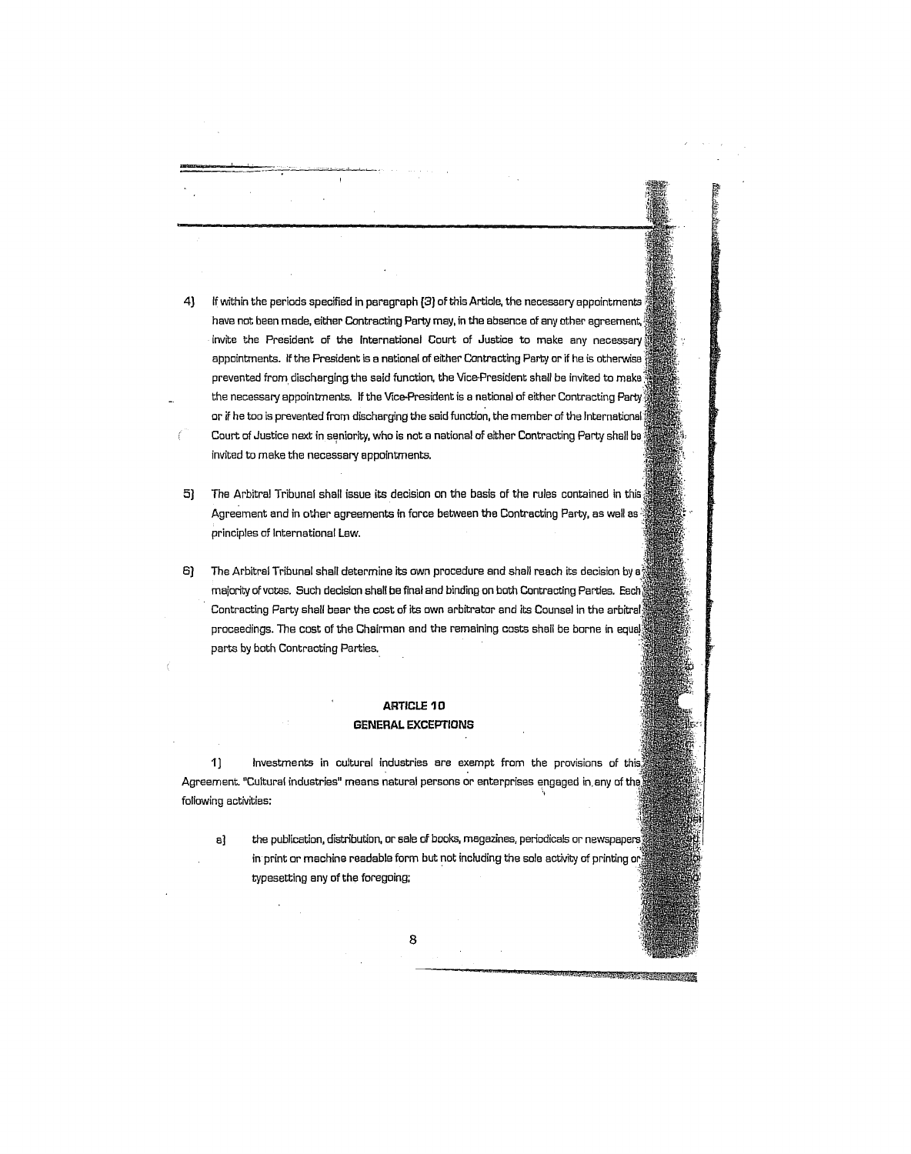- 4) If within the periods specified in paragraph (3) of this Article, the necessary appointments have not been made, either Contracting Party may, in the absence of any other agreemant, invite the President of the International Court of Justice to make any necessary appointments. If the President is a national of either Contracting Party or if he is otherwise' prevented from discharging the said function, the Vice-President shall be invited to make the necessary appointments. If the Vice-President is a national of either Contracting Party or if he too is prevented from discharging the said function, the member of the International Court of Justice next in seniority, who is not a national of either Contracting Party shall be invited to make the necessary appointments.
- 5) The Arbitral Tribunal shall issue its decision on the basis of the rules contained in this Agreement and in other agreements in force between the Contracting Party, as well es ' principles of International Law.
- 6J The Arbitral Tribunal shall determine its own procedure and shall reach its decision by a' majority of votes. Such decision shall be final and binding on both Contracting Parties. Each Contracting Party shall bear the cost of its own arbitrator and its Counsel in the arbitral proceedings. The cost of the Chairman and the remaining costs shell be borne in equal parts by both Contracting Parties.,

## **ARTICLE 10 GENERAl. EXCEPTIONS**

1) Investments in cultural industries are exempt from the provisions of this Agreement. "Cultural industries" means natural persons or enterprises engaged in any of the following activities:

a] the publication, distribution, or sale of books, magazines, periodicals or newspapers in print or machine readable form but not including the sole activity of printing or: typesetting any of the foregoing;

**SAME AND ASSESSED AT LCCC.**